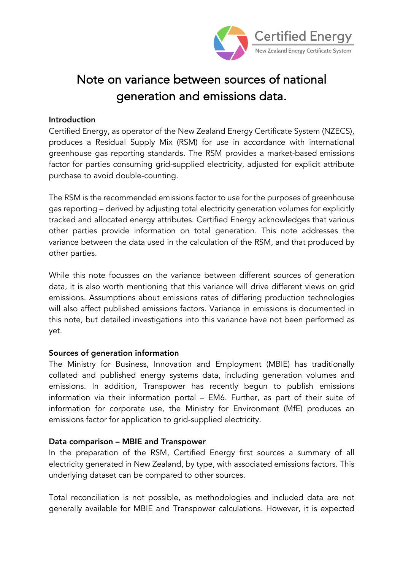

# Note on variance between sources of national generation and emissions data.

## Introduction

Certified Energy, as operator of the New Zealand Energy Certificate System (NZECS), produces a Residual Supply Mix (RSM) for use in accordance with international greenhouse gas reporting standards. The RSM provides a market-based emissions factor for parties consuming grid-supplied electricity, adjusted for explicit attribute purchase to avoid double-counting.

The RSM is the recommended emissions factor to use for the purposes of greenhouse gas reporting – derived by adjusting total electricity generation volumes for explicitly tracked and allocated energy attributes. Certified Energy acknowledges that various other parties provide information on total generation. This note addresses the variance between the data used in the calculation of the RSM, and that produced by other parties.

While this note focusses on the variance between different sources of generation data, it is also worth mentioning that this variance will drive different views on grid emissions. Assumptions about emissions rates of differing production technologies will also affect published emissions factors. Variance in emissions is documented in this note, but detailed investigations into this variance have not been performed as yet.

## Sources of generation information

The Ministry for Business, Innovation and Employment (MBIE) has traditionally collated and published energy systems data, including generation volumes and emissions. In addition, Transpower has recently begun to publish emissions information via their information portal – EM6. Further, as part of their suite of information for corporate use, the Ministry for Environment (MfE) produces an emissions factor for application to grid-supplied electricity.

## Data comparison – MBIE and Transpower

In the preparation of the RSM, Certified Energy first sources a summary of all electricity generated in New Zealand, by type, with associated emissions factors. This underlying dataset can be compared to other sources.

Total reconciliation is not possible, as methodologies and included data are not generally available for MBIE and Transpower calculations. However, it is expected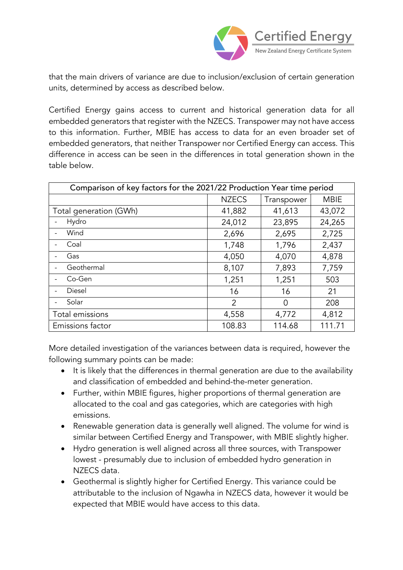

that the main drivers of variance are due to inclusion/exclusion of certain generation units, determined by access as described below.

Certified Energy gains access to current and historical generation data for all embedded generators that register with the NZECS. Transpower may not have access to this information. Further, MBIE has access to data for an even broader set of embedded generators, that neither Transpower nor Certified Energy can access. This difference in access can be seen in the differences in total generation shown in the table below.

| Comparison of key factors for the 2021/22 Production Year time period |                |                |             |
|-----------------------------------------------------------------------|----------------|----------------|-------------|
|                                                                       | <b>NZECS</b>   | Transpower     | <b>MBIE</b> |
| Total generation (GWh)                                                | 41,882         | 41,613         | 43,072      |
| Hydro                                                                 | 24,012         | 23,895         | 24,265      |
| Wind                                                                  | 2,696          | 2,695          | 2,725       |
| Coal                                                                  | 1,748          | 1,796          | 2,437       |
| Gas                                                                   | 4,050          | 4,070          | 4,878       |
| Geothermal                                                            | 8,107          | 7,893          | 7,759       |
| Co-Gen                                                                | 1,251          | 1,251          | 503         |
| Diesel                                                                | 16             | 16             | 21          |
| Solar                                                                 | $\overline{2}$ | $\overline{0}$ | 208         |
| Total emissions                                                       | 4,558          | 4,772          | 4,812       |
| Emissions factor                                                      | 108.83         | 114.68         | 111.71      |

More detailed investigation of the variances between data is required, however the following summary points can be made:

- It is likely that the differences in thermal generation are due to the availability and classification of embedded and behind-the-meter generation.
- Further, within MBIE figures, higher proportions of thermal generation are allocated to the coal and gas categories, which are categories with high emissions.
- Renewable generation data is generally well aligned. The volume for wind is similar between Certified Energy and Transpower, with MBIE slightly higher.
- Hydro generation is well aligned across all three sources, with Transpower lowest - presumably due to inclusion of embedded hydro generation in NZECS data.
- Geothermal is slightly higher for Certified Energy. This variance could be attributable to the inclusion of Ngawha in NZECS data, however it would be expected that MBIE would have access to this data.